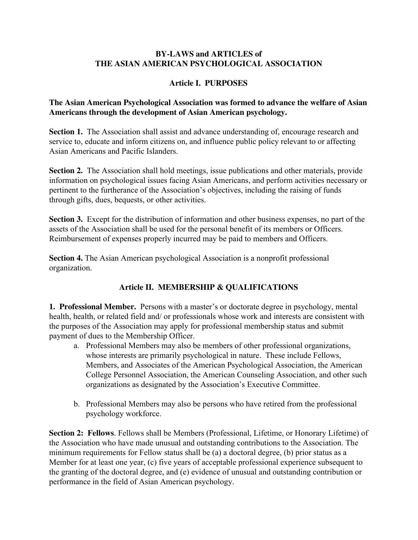#### **BY-LAWS and ARTICLES of THE ASIAN AMERICAN PSYCHOLOGICAL ASSOCIATION**

## **Article I. PURPOSES**

## **The Asian American Psychological Association was formed to advance the welfare of Asian Americans through the development of Asian American psychology.**

**Section 1.** The Association shall assist and advance understanding of, encourage research and service to, educate and inform citizens on, and influence public policy relevant to or affecting Asian Americans and Pacific Islanders.

**Section 2.** The Association shall hold meetings, issue publications and other materials, provide information on psychological issues facing Asian Americans, and perform activities necessary or pertinent to the furtherance of the Association's objectives, including the raising of funds through gifts, dues, bequests, or other activities.

**Section 3.** Except for the distribution of information and other business expenses, no part of the assets of the Association shall be used for the personal benefit of its members or Officers. Reimbursement of expenses properly incurred may be paid to members and Officers.

**Section 4.** The Asian American psychological Association is a nonprofit professional organization.

## **Article II. MEMBERSHIP & QUALIFICATIONS**

**1. Professional Member.** Persons with a master's or doctorate degree in psychology, mental health, health, or related field and/ or professionals whose work and interests are consistent with the purposes of the Association may apply for professional membership status and submit payment of dues to the Membership Officer.

- a. Professional Members may also be members of other professional organizations, whose interests are primarily psychological in nature. These include Fellows, Members, and Associates of the American Psychological Association, the American College Personnel Association, the American Counseling Association, and other such organizations as designated by the Association's Executive Committee.
- b. Professional Members may also be persons who have retired from the professional psychology workforce.

**Section 2: Fellows**. Fellows shall be Members (Professional, Lifetime, or Honorary Lifetime) of the Association who have made unusual and outstanding contributions to the Association. The minimum requirements for Fellow status shall be (a) a doctoral degree, (b) prior status as a Member for at least one year, (c) five years of acceptable professional experience subsequent to the granting of the doctoral degree, and (e) evidence of unusual and outstanding contribution or performance in the field of Asian American psychology.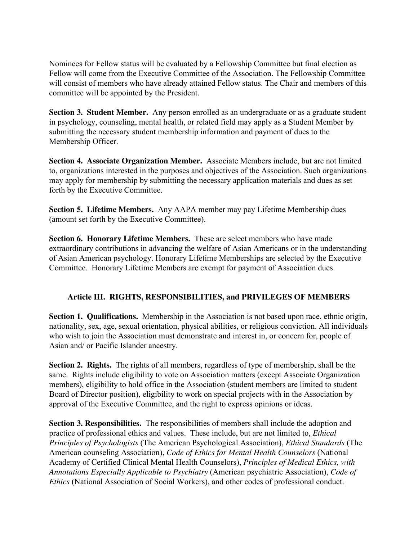Nominees for Fellow status will be evaluated by a Fellowship Committee but final election as Fellow will come from the Executive Committee of the Association. The Fellowship Committee will consist of members who have already attained Fellow status. The Chair and members of this committee will be appointed by the President.

**Section 3. Student Member.** Any person enrolled as an undergraduate or as a graduate student in psychology, counseling, mental health, or related field may apply as a Student Member by submitting the necessary student membership information and payment of dues to the Membership Officer.

**Section 4. Associate Organization Member.** Associate Members include, but are not limited to, organizations interested in the purposes and objectives of the Association. Such organizations may apply for membership by submitting the necessary application materials and dues as set forth by the Executive Committee.

**Section 5. Lifetime Members.** Any AAPA member may pay Lifetime Membership dues (amount set forth by the Executive Committee).

**Section 6. Honorary Lifetime Members.** These are select members who have made extraordinary contributions in advancing the welfare of Asian Americans or in the understanding of Asian American psychology. Honorary Lifetime Memberships are selected by the Executive Committee. Honorary Lifetime Members are exempt for payment of Association dues.

#### **Article III. RIGHTS, RESPONSIBILITIES, and PRIVILEGES OF MEMBERS**

**Section 1. Qualifications.** Membership in the Association is not based upon race, ethnic origin, nationality, sex, age, sexual orientation, physical abilities, or religious conviction. All individuals who wish to join the Association must demonstrate and interest in, or concern for, people of Asian and/ or Pacific Islander ancestry.

**Section 2. Rights.** The rights of all members, regardless of type of membership, shall be the same. Rights include eligibility to vote on Association matters (except Associate Organization members), eligibility to hold office in the Association (student members are limited to student Board of Director position), eligibility to work on special projects with in the Association by approval of the Executive Committee, and the right to express opinions or ideas.

**Section 3. Responsibilities.** The responsibilities of members shall include the adoption and practice of professional ethics and values. These include, but are not limited to, *Ethical Principles of Psychologists* (The American Psychological Association), *Ethical Standards* (The American counseling Association), *Code of Ethics for Mental Health Counselors* (National Academy of Certified Clinical Mental Health Counselors), *Principles of Medical Ethics, with Annotations Especially Applicable to Psychiatry* (American psychiatric Association), *Code of Ethics* (National Association of Social Workers), and other codes of professional conduct.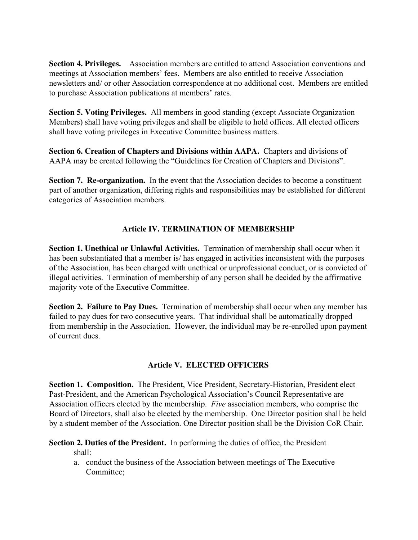**Section 4. Privileges.** Association members are entitled to attend Association conventions and meetings at Association members' fees. Members are also entitled to receive Association newsletters and/ or other Association correspondence at no additional cost. Members are entitled to purchase Association publications at members' rates.

**Section 5. Voting Privileges.** All members in good standing (except Associate Organization Members) shall have voting privileges and shall be eligible to hold offices. All elected officers shall have voting privileges in Executive Committee business matters.

**Section 6. Creation of Chapters and Divisions within AAPA.** Chapters and divisions of AAPA may be created following the "Guidelines for Creation of Chapters and Divisions".

**Section 7. Re-organization.** In the event that the Association decides to become a constituent part of another organization, differing rights and responsibilities may be established for different categories of Association members.

## **Article IV. TERMINATION OF MEMBERSHIP**

**Section 1. Unethical or Unlawful Activities.** Termination of membership shall occur when it has been substantiated that a member is/ has engaged in activities inconsistent with the purposes of the Association, has been charged with unethical or unprofessional conduct, or is convicted of illegal activities. Termination of membership of any person shall be decided by the affirmative majority vote of the Executive Committee.

**Section 2. Failure to Pay Dues.** Termination of membership shall occur when any member has failed to pay dues for two consecutive years. That individual shall be automatically dropped from membership in the Association. However, the individual may be re-enrolled upon payment of current dues.

#### **Article V. ELECTED OFFICERS**

**Section 1. Composition.** The President, Vice President, Secretary-Historian, President elect Past-President, and the American Psychological Association's Council Representative are Association officers elected by the membership. *Five* association members, who comprise the Board of Directors, shall also be elected by the membership. One Director position shall be held by a student member of the Association. One Director position shall be the Division CoR Chair.

**Section 2. Duties of the President.** In performing the duties of office, the President shall:

a. conduct the business of the Association between meetings of The Executive Committee;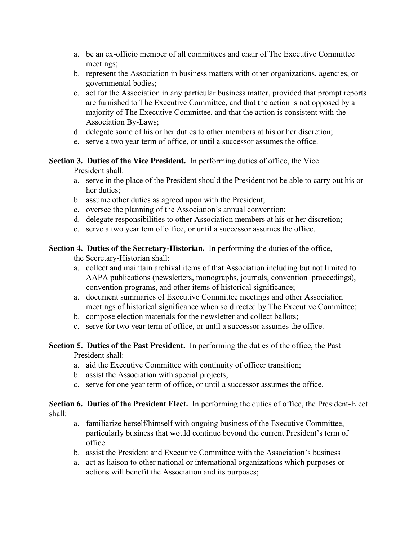- a. be an ex-officio member of all committees and chair of The Executive Committee meetings;
- b. represent the Association in business matters with other organizations, agencies, or governmental bodies;
- c. act for the Association in any particular business matter, provided that prompt reports are furnished to The Executive Committee, and that the action is not opposed by a majority of The Executive Committee, and that the action is consistent with the Association By-Laws;
- d. delegate some of his or her duties to other members at his or her discretion;
- e. serve a two year term of office, or until a successor assumes the office.

# **Section 3. Duties of the Vice President.** In performing duties of office, the Vice

President shall:

- a. serve in the place of the President should the President not be able to carry out his or her duties;
- b. assume other duties as agreed upon with the President;
- c. oversee the planning of the Association's annual convention;
- d. delegate responsibilities to other Association members at his or her discretion;
- e. serve a two year tem of office, or until a successor assumes the office.

## **Section 4. Duties of the Secretary-Historian.** In performing the duties of the office,

the Secretary-Historian shall:

- a. collect and maintain archival items of that Association including but not limited to AAPA publications (newsletters, monographs, journals, convention proceedings), convention programs, and other items of historical significance;
- a. document summaries of Executive Committee meetings and other Association meetings of historical significance when so directed by The Executive Committee;
- b. compose election materials for the newsletter and collect ballots;
- c. serve for two year term of office, or until a successor assumes the office.

#### **Section 5. Duties of the Past President.** In performing the duties of the office, the Past President shall:

- a. aid the Executive Committee with continuity of officer transition;
- b. assist the Association with special projects;
- c. serve for one year term of office, or until a successor assumes the office.

## **Section 6. Duties of the President Elect.** In performing the duties of office, the President-Elect shall:

- a. familiarize herself/himself with ongoing business of the Executive Committee, particularly business that would continue beyond the current President's term of office.
- b. assist the President and Executive Committee with the Association's business
- a. act as liaison to other national or international organizations which purposes or actions will benefit the Association and its purposes;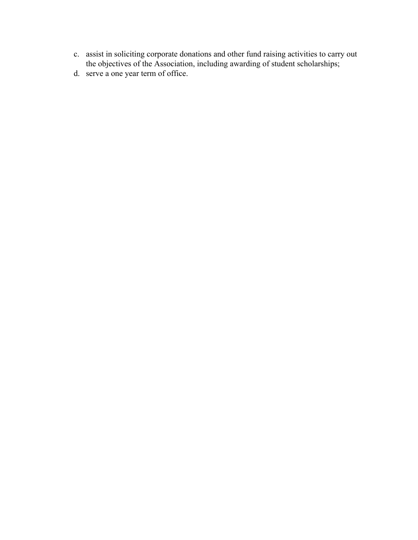- c. assist in soliciting corporate donations and other fund raising activities to carry out the objectives of the Association, including awarding of student scholarships;
- d. serve a one year term of office.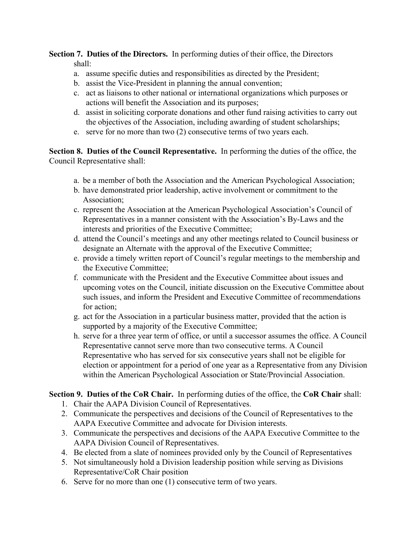**Section 7. Duties of the Directors.** In performing duties of their office, the Directors shall:

- a. assume specific duties and responsibilities as directed by the President;
- b. assist the Vice-President in planning the annual convention;
- c. act as liaisons to other national or international organizations which purposes or actions will benefit the Association and its purposes;
- d. assist in soliciting corporate donations and other fund raising activities to carry out the objectives of the Association, including awarding of student scholarships;
- e. serve for no more than two (2) consecutive terms of two years each.

**Section 8. Duties of the Council Representative.** In performing the duties of the office, the Council Representative shall:

- a. be a member of both the Association and the American Psychological Association;
- b. have demonstrated prior leadership, active involvement or commitment to the Association;
- c. represent the Association at the American Psychological Association's Council of Representatives in a manner consistent with the Association's By-Laws and the interests and priorities of the Executive Committee;
- d. attend the Council's meetings and any other meetings related to Council business or designate an Alternate with the approval of the Executive Committee;
- e. provide a timely written report of Council's regular meetings to the membership and the Executive Committee;
- f. communicate with the President and the Executive Committee about issues and upcoming votes on the Council, initiate discussion on the Executive Committee about such issues, and inform the President and Executive Committee of recommendations for action;
- g. act for the Association in a particular business matter, provided that the action is supported by a majority of the Executive Committee;
- h. serve for a three year term of office, or until a successor assumes the office. A Council Representative cannot serve more than two consecutive terms. A Council Representative who has served for six consecutive years shall not be eligible for election or appointment for a period of one year as a Representative from any Division within the American Psychological Association or State/Provincial Association.

**Section 9. Duties of the CoR Chair.** In performing duties of the office, the **CoR Chair** shall:

- 1. Chair the AAPA Division Council of Representatives.
- 2. Communicate the perspectives and decisions of the Council of Representatives to the AAPA Executive Committee and advocate for Division interests.
- 3. Communicate the perspectives and decisions of the AAPA Executive Committee to the AAPA Division Council of Representatives.
- 4. Be elected from a slate of nominees provided only by the Council of Representatives
- 5. Not simultaneously hold a Division leadership position while serving as Divisions Representative/CoR Chair position
- 6. Serve for no more than one (1) consecutive term of two years.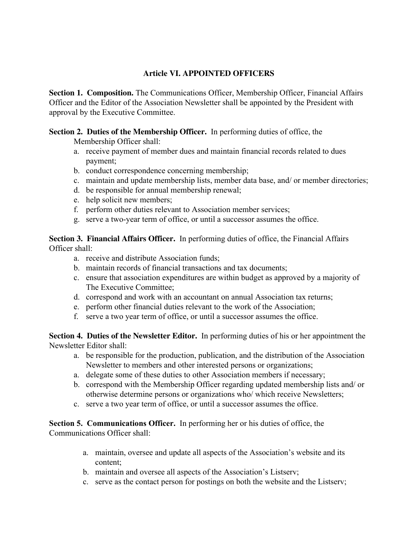## **Article VI. APPOINTED OFFICERS**

**Section 1. Composition.** The Communications Officer, Membership Officer, Financial Affairs Officer and the Editor of the Association Newsletter shall be appointed by the President with approval by the Executive Committee.

**Section 2. Duties of the Membership Officer.** In performing duties of office, the

- Membership Officer shall:
- a. receive payment of member dues and maintain financial records related to dues payment;
- b. conduct correspondence concerning membership;
- c. maintain and update membership lists, member data base, and/ or member directories;
- d. be responsible for annual membership renewal;
- e. help solicit new members;
- f. perform other duties relevant to Association member services;
- g. serve a two-year term of office, or until a successor assumes the office.

**Section 3. Financial Affairs Officer.** In performing duties of office, the Financial Affairs Officer shall:

- a. receive and distribute Association funds;
- b. maintain records of financial transactions and tax documents;
- c. ensure that association expenditures are within budget as approved by a majority of The Executive Committee;
- d. correspond and work with an accountant on annual Association tax returns;
- e. perform other financial duties relevant to the work of the Association;
- f. serve a two year term of office, or until a successor assumes the office.

**Section 4. Duties of the Newsletter Editor.** In performing duties of his or her appointment the Newsletter Editor shall:

- a. be responsible for the production, publication, and the distribution of the Association Newsletter to members and other interested persons or organizations;
- a. delegate some of these duties to other Association members if necessary;
- b. correspond with the Membership Officer regarding updated membership lists and/ or otherwise determine persons or organizations who/ which receive Newsletters;
- c. serve a two year term of office, or until a successor assumes the office.

**Section 5. Communications Officer.** In performing her or his duties of office, the Communications Officer shall:

- a. maintain, oversee and update all aspects of the Association's website and its content;
- b. maintain and oversee all aspects of the Association's Listserv;
- c. serve as the contact person for postings on both the website and the Listserv;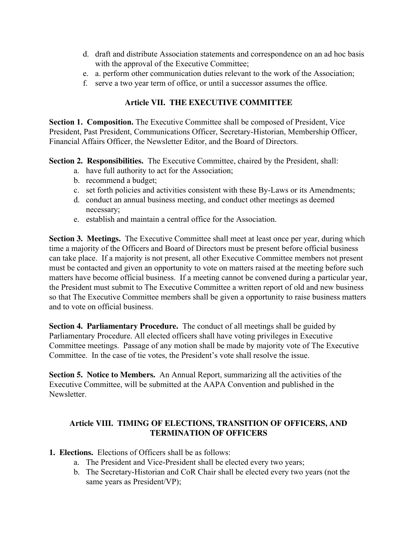- d. draft and distribute Association statements and correspondence on an ad hoc basis with the approval of the Executive Committee;
- e. a. perform other communication duties relevant to the work of the Association;
- f. serve a two year term of office, or until a successor assumes the office.

#### **Article VII. THE EXECUTIVE COMMITTEE**

**Section 1. Composition.** The Executive Committee shall be composed of President, Vice President, Past President, Communications Officer, Secretary-Historian, Membership Officer, Financial Affairs Officer, the Newsletter Editor, and the Board of Directors.

**Section 2. Responsibilities.** The Executive Committee, chaired by the President, shall:

- a. have full authority to act for the Association;
- b. recommend a budget;
- c. set forth policies and activities consistent with these By-Laws or its Amendments;
- d. conduct an annual business meeting, and conduct other meetings as deemed necessary;
- e. establish and maintain a central office for the Association.

**Section 3. Meetings.** The Executive Committee shall meet at least once per year, during which time a majority of the Officers and Board of Directors must be present before official business can take place. If a majority is not present, all other Executive Committee members not present must be contacted and given an opportunity to vote on matters raised at the meeting before such matters have become official business. If a meeting cannot be convened during a particular year, the President must submit to The Executive Committee a written report of old and new business so that The Executive Committee members shall be given a opportunity to raise business matters and to vote on official business.

**Section 4. Parliamentary Procedure.** The conduct of all meetings shall be guided by Parliamentary Procedure. All elected officers shall have voting privileges in Executive Committee meetings. Passage of any motion shall be made by majority vote of The Executive Committee. In the case of tie votes, the President's vote shall resolve the issue.

**Section 5. Notice to Members.** An Annual Report, summarizing all the activities of the Executive Committee, will be submitted at the AAPA Convention and published in the **Newsletter** 

#### **Article VIII. TIMING OF ELECTIONS, TRANSITION OF OFFICERS, AND TERMINATION OF OFFICERS**

- **1. Elections.** Elections of Officers shall be as follows:
	- a. The President and Vice-President shall be elected every two years;
	- b. The Secretary-Historian and CoR Chair shall be elected every two years (not the same years as President/VP);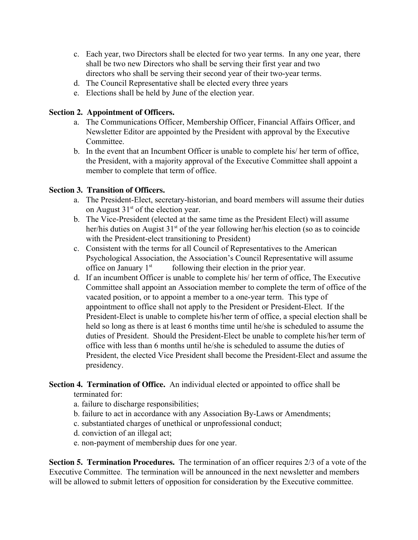- c. Each year, two Directors shall be elected for two year terms. In any one year, there shall be two new Directors who shall be serving their first year and two directors who shall be serving their second year of their two-year terms.
- d. The Council Representative shall be elected every three years
- e. Elections shall be held by June of the election year.

### **Section 2. Appointment of Officers.**

- a. The Communications Officer, Membership Officer, Financial Affairs Officer, and Newsletter Editor are appointed by the President with approval by the Executive Committee.
- b. In the event that an Incumbent Officer is unable to complete his/ her term of office, the President, with a majority approval of the Executive Committee shall appoint a member to complete that term of office.

## **Section 3. Transition of Officers.**

- a. The President-Elect, secretary-historian, and board members will assume their duties on August  $31<sup>st</sup>$  of the election year.
- b. The Vice-President (elected at the same time as the President Elect) will assume her/his duties on Augist 31<sup>st</sup> of the year following her/his election (so as to coincide with the President-elect transitioning to President)
- c. Consistent with the terms for all Council of Representatives to the American Psychological Association, the Association's Council Representative will assume office on January 1<sup>st</sup> following their election in the prior year.
- d. If an incumbent Officer is unable to complete his/ her term of office, The Executive Committee shall appoint an Association member to complete the term of office of the vacated position, or to appoint a member to a one-year term. This type of appointment to office shall not apply to the President or President-Elect. If the President-Elect is unable to complete his/her term of office, a special election shall be held so long as there is at least 6 months time until he/she is scheduled to assume the duties of President. Should the President-Elect be unable to complete his/her term of office with less than 6 months until he/she is scheduled to assume the duties of President, the elected Vice President shall become the President-Elect and assume the presidency.

## **Section 4. Termination of Office.** An individual elected or appointed to office shall be terminated for:

- a. failure to discharge responsibilities;
- b. failure to act in accordance with any Association By-Laws or Amendments;
- c. substantiated charges of unethical or unprofessional conduct;
- d. conviction of an illegal act;
- e. non-payment of membership dues for one year.

**Section 5. Termination Procedures.** The termination of an officer requires 2/3 of a vote of the Executive Committee. The termination will be announced in the next newsletter and members will be allowed to submit letters of opposition for consideration by the Executive committee.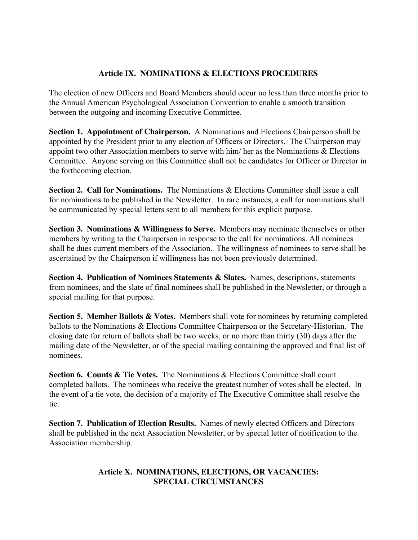## **Article IX. NOMINATIONS & ELECTIONS PROCEDURES**

The election of new Officers and Board Members should occur no less than three months prior to the Annual American Psychological Association Convention to enable a smooth transition between the outgoing and incoming Executive Committee.

**Section 1. Appointment of Chairperson.** A Nominations and Elections Chairperson shall be appointed by the President prior to any election of Officers or Directors. The Chairperson may appoint two other Association members to serve with him/ her as the Nominations & Elections Committee. Anyone serving on this Committee shall not be candidates for Officer or Director in the forthcoming election.

**Section 2. Call for Nominations.** The Nominations & Elections Committee shall issue a call for nominations to be published in the Newsletter. In rare instances, a call for nominations shall be communicated by special letters sent to all members for this explicit purpose.

**Section 3. Nominations & Willingness to Serve.** Members may nominate themselves or other members by writing to the Chairperson in response to the call for nominations. All nominees shall be dues current members of the Association. The willingness of nominees to serve shall be ascertained by the Chairperson if willingness has not been previously determined.

**Section 4. Publication of Nominees Statements & Slates.** Names, descriptions, statements from nominees, and the slate of final nominees shall be published in the Newsletter, or through a special mailing for that purpose.

**Section 5. Member Ballots & Votes.** Members shall vote for nominees by returning completed ballots to the Nominations & Elections Committee Chairperson or the Secretary-Historian. The closing date for return of ballots shall be two weeks, or no more than thirty (30) days after the mailing date of the Newsletter, or of the special mailing containing the approved and final list of nominees.

**Section 6. Counts & Tie Votes.** The Nominations & Elections Committee shall count completed ballots. The nominees who receive the greatest number of votes shall be elected. In the event of a tie vote, the decision of a majority of The Executive Committee shall resolve the tie.

**Section 7. Publication of Election Results.** Names of newly elected Officers and Directors shall be published in the next Association Newsletter, or by special letter of notification to the Association membership.

## **Article X. NOMINATIONS, ELECTIONS, OR VACANCIES: SPECIAL CIRCUMSTANCES**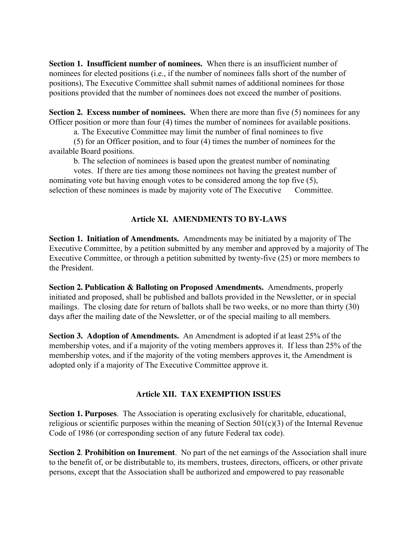**Section 1. Insufficient number of nominees.** When there is an insufficient number of nominees for elected positions (i.e., if the number of nominees falls short of the number of positions), The Executive Committee shall submit names of additional nominees for those positions provided that the number of nominees does not exceed the number of positions.

**Section 2. Excess number of nominees.** When there are more than five (5) nominees for any Officer position or more than four (4) times the number of nominees for available positions.

a. The Executive Committee may limit the number of final nominees to five

(5) for an Officer position, and to four (4) times the number of nominees for the available Board positions.

b. The selection of nominees is based upon the greatest number of nominating

votes. If there are ties among those nominees not having the greatest number of nominating vote but having enough votes to be considered among the top five (5), selection of these nominees is made by majority vote of The Executive Committee.

## **Article XI. AMENDMENTS TO BY-LAWS**

**Section 1. Initiation of Amendments.** Amendments may be initiated by a majority of The Executive Committee, by a petition submitted by any member and approved by a majority of The Executive Committee, or through a petition submitted by twenty-five (25) or more members to the President.

**Section 2. Publication & Balloting on Proposed Amendments.** Amendments, properly initiated and proposed, shall be published and ballots provided in the Newsletter, or in special mailings. The closing date for return of ballots shall be two weeks, or no more than thirty (30) days after the mailing date of the Newsletter, or of the special mailing to all members.

**Section 3. Adoption of Amendments.** An Amendment is adopted if at least 25% of the membership votes, and if a majority of the voting members approves it. If less than 25% of the membership votes, and if the majority of the voting members approves it, the Amendment is adopted only if a majority of The Executive Committee approve it.

## **Article XII. TAX EXEMPTION ISSUES**

**Section 1. Purposes**. The Association is operating exclusively for charitable, educational, religious or scientific purposes within the meaning of Section  $501(c)(3)$  of the Internal Revenue Code of 1986 (or corresponding section of any future Federal tax code).

**Section 2**. **Prohibition on Inurement**. No part of the net earnings of the Association shall inure to the benefit of, or be distributable to, its members, trustees, directors, officers, or other private persons, except that the Association shall be authorized and empowered to pay reasonable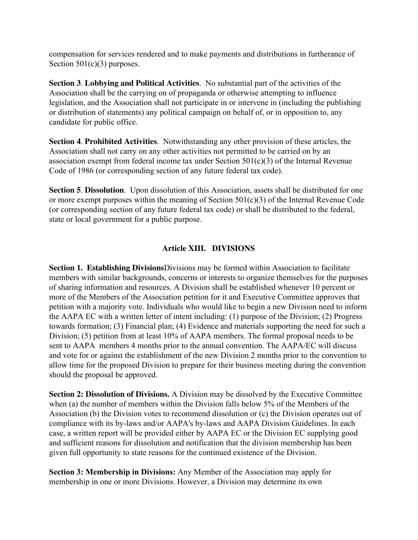compensation for services rendered and to make payments and distributions in furtherance of Section  $501(c)(3)$  purposes.

**Section 3**. **Lobbying and Political Activities**. No substantial part of the activities of the Association shall be the carrying on of propaganda or otherwise attempting to influence legislation, and the Association shall not participate in or intervene in (including the publishing or distribution of statements) any political campaign on behalf of, or in opposition to, any candidate for public office.

**Section 4**. **Prohibited Activities**. Notwithstanding any other provision of these articles, the Association shall not carry on any other activities not permitted to be carried on by an association exempt from federal income tax under Section 501(c)(3) of the Internal Revenue Code of 1986 (or corresponding section of any future federal tax code).

**Section 5**. **Dissolution**. Upon dissolution of this Association, assets shall be distributed for one or more exempt purposes within the meaning of Section 501(c)(3) of the Internal Revenue Code (or corresponding section of any future federal tax code) or shall be distributed to the federal, state or local government for a public purpose.

## **Article XIII. DIVISIONS**

**Section 1. Establishing Divisions**Divisions may be formed within Association to facilitate members with similar backgrounds, concerns or interests to organize themselves for the purposes of sharing information and resources. A Division shall be established whenever 10 percent or more of the Members of the Association petition for it and Executive Committee approves that petition with a majority vote. Individuals who would like to begin a new Division need to inform the AAPA EC with a written letter of intent including: (1) purpose of the Division; (2) Progress towards formation; (3) Financial plan; (4) Evidence and materials supporting the need for such a Division; (5) petition from at least 10% of AAPA members. The formal proposal needs to be sent to AAPA members 4 months prior to the annual convention. The AAPA/EC will discuss and vote for or against the establishment of the new Division 2 months prior to the convention to allow time for the proposed Division to prepare for their business meeting during the convention should the proposal be approved.

**Section 2: Dissolution of Divisions.** A Division may be dissolved by the Executive Committee when (a) the number of members within the Division falls below 5% of the Members of the Association (b) the Division votes to recommend dissolution or (c) the Division operates out of compliance with its by-laws and/or AAPA's by-laws and AAPA Division Guidelines. In each case, a written report will be provided either by AAPA EC or the Division EC supplying good and sufficient reasons for dissolution and notification that the division membership has been given full opportunity to state reasons for the continued existence of the Division.

**Section 3: Membership in Divisions:** Any Member of the Association may apply for membership in one or more Divisions. However, a Division may determine its own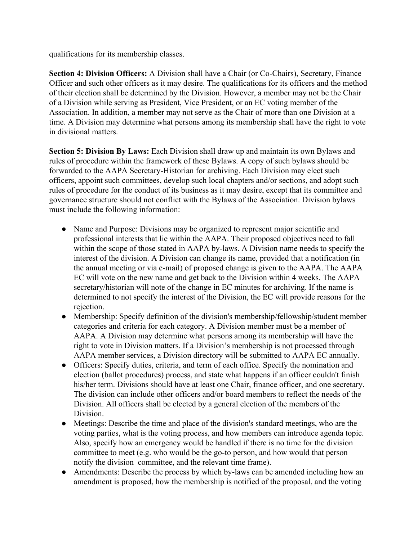qualifications for its membership classes.

**Section 4: Division Officers:** A Division shall have a Chair (or Co-Chairs), Secretary, Finance Officer and such other officers as it may desire. The qualifications for its officers and the method of their election shall be determined by the Division. However, a member may not be the Chair of a Division while serving as President, Vice President, or an EC voting member of the Association. In addition, a member may not serve as the Chair of more than one Division at a time. A Division may determine what persons among its membership shall have the right to vote in divisional matters.

**Section 5: Division By Laws:** Each Division shall draw up and maintain its own Bylaws and rules of procedure within the framework of these Bylaws. A copy of such bylaws should be forwarded to the AAPA Secretary-Historian for archiving. Each Division may elect such officers, appoint such committees, develop such local chapters and/or sections, and adopt such rules of procedure for the conduct of its business as it may desire, except that its committee and governance structure should not conflict with the Bylaws of the Association. Division bylaws must include the following information:

- Name and Purpose: Divisions may be organized to represent major scientific and professional interests that lie within the AAPA. Their proposed objectives need to fall within the scope of those stated in AAPA by-laws. A Division name needs to specify the interest of the division. A Division can change its name, provided that a notification (in the annual meeting or via e-mail) of proposed change is given to the AAPA. The AAPA EC will vote on the new name and get back to the Division within 4 weeks. The AAPA secretary/historian will note of the change in EC minutes for archiving. If the name is determined to not specify the interest of the Division, the EC will provide reasons for the rejection.
- Membership: Specify definition of the division's membership/fellowship/student member categories and criteria for each category. A Division member must be a member of AAPA. A Division may determine what persons among its membership will have the right to vote in Division matters. If a Division's membership is not processed through AAPA member services, a Division directory will be submitted to AAPA EC annually.
- Officers: Specify duties, criteria, and term of each office. Specify the nomination and election (ballot procedures) process, and state what happens if an officer couldn't finish his/her term. Divisions should have at least one Chair, finance officer, and one secretary. The division can include other officers and/or board members to reflect the needs of the Division. All officers shall be elected by a general election of the members of the Division.
- Meetings: Describe the time and place of the division's standard meetings, who are the voting parties, what is the voting process, and how members can introduce agenda topic. Also, specify how an emergency would be handled if there is no time for the division committee to meet (e.g. who would be the go-to person, and how would that person notify the division committee, and the relevant time frame).
- Amendments: Describe the process by which by-laws can be amended including how an amendment is proposed, how the membership is notified of the proposal, and the voting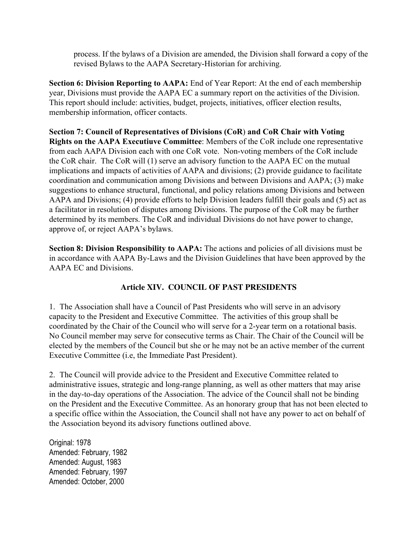process. If the bylaws of a Division are amended, the Division shall forward a copy of the revised Bylaws to the AAPA Secretary-Historian for archiving.

**Section 6: Division Reporting to AAPA:** End of Year Report: At the end of each membership year, Divisions must provide the AAPA EC a summary report on the activities of the Division. This report should include: activities, budget, projects, initiatives, officer election results, membership information, officer contacts.

**Section 7: Council of Representatives of Divisions (CoR**) **and CoR Chair with Voting Rights on the AAPA Executiuve Committee**: Members of the CoR include one representative from each AAPA Division each with one CoR vote. Non-voting members of the CoR include the CoR chair. The CoR will (1) serve an advisory function to the AAPA EC on the mutual implications and impacts of activities of AAPA and divisions; (2) provide guidance to facilitate coordination and communication among Divisions and between Divisions and AAPA; (3) make suggestions to enhance structural, functional, and policy relations among Divisions and between AAPA and Divisions; (4) provide efforts to help Division leaders fulfill their goals and (5) act as a facilitator in resolution of disputes among Divisions. The purpose of the CoR may be further determined by its members. The CoR and individual Divisions do not have power to change, approve of, or reject AAPA's bylaws.

**Section 8: Division Responsibility to AAPA:** The actions and policies of all divisions must be in accordance with AAPA By-Laws and the Division Guidelines that have been approved by the AAPA EC and Divisions.

## **Article XIV. COUNCIL OF PAST PRESIDENTS**

1. The Association shall have a Council of Past Presidents who will serve in an advisory capacity to the President and Executive Committee. The activities of this group shall be coordinated by the Chair of the Council who will serve for a 2-year term on a rotational basis. No Council member may serve for consecutive terms as Chair. The Chair of the Council will be elected by the members of the Council but she or he may not be an active member of the current Executive Committee (i.e, the Immediate Past President).

2. The Council will provide advice to the President and Executive Committee related to administrative issues, strategic and long-range planning, as well as other matters that may arise in the day-to-day operations of the Association. The advice of the Council shall not be binding on the President and the Executive Committee. As an honorary group that has not been elected to a specific office within the Association, the Council shall not have any power to act on behalf of the Association beyond its advisory functions outlined above.

Original: 1978 Amended: February, 1982 Amended: August, 1983 Amended: February, 1997 Amended: October, 2000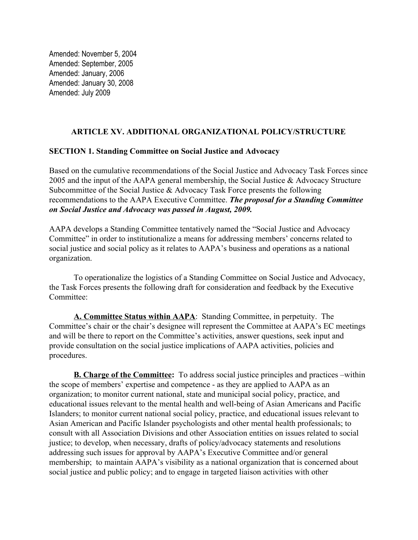Amended: November 5, 2004 Amended: September, 2005 Amended: January, 2006 Amended: January 30, 2008 Amended: July 2009

#### **ARTICLE XV. ADDITIONAL ORGANIZATIONAL POLICY/STRUCTURE**

#### **SECTION 1. Standing Committee on Social Justice and Advocacy**

Based on the cumulative recommendations of the Social Justice and Advocacy Task Forces since 2005 and the input of the AAPA general membership, the Social Justice & Advocacy Structure Subcommittee of the Social Justice & Advocacy Task Force presents the following recommendations to the AAPA Executive Committee. *The proposal for a Standing Committee on Social Justice and Advocacy was passed in August, 2009.*

AAPA develops a Standing Committee tentatively named the "Social Justice and Advocacy Committee" in order to institutionalize a means for addressing members' concerns related to social justice and social policy as it relates to AAPA's business and operations as a national organization.

To operationalize the logistics of a Standing Committee on Social Justice and Advocacy, the Task Forces presents the following draft for consideration and feedback by the Executive Committee:

**A. Committee Status within AAPA**: Standing Committee, in perpetuity. The Committee's chair or the chair's designee will represent the Committee at AAPA's EC meetings and will be there to report on the Committee's activities, answer questions, seek input and provide consultation on the social justice implications of AAPA activities, policies and procedures.

**B. Charge of the Committee:** To address social justice principles and practices –within the scope of members' expertise and competence - as they are applied to AAPA as an organization; to monitor current national, state and municipal social policy, practice, and educational issues relevant to the mental health and well-being of Asian Americans and Pacific Islanders; to monitor current national social policy, practice, and educational issues relevant to Asian American and Pacific Islander psychologists and other mental health professionals; to consult with all Association Divisions and other Association entities on issues related to social justice; to develop, when necessary, drafts of policy/advocacy statements and resolutions addressing such issues for approval by AAPA's Executive Committee and/or general membership; to maintain AAPA's visibility as a national organization that is concerned about social justice and public policy; and to engage in targeted liaison activities with other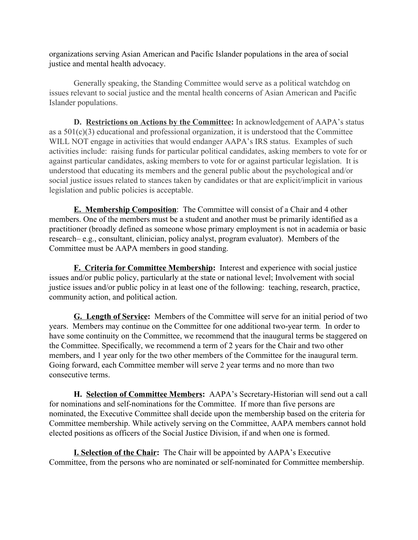organizations serving Asian American and Pacific Islander populations in the area of social justice and mental health advocacy.

Generally speaking, the Standing Committee would serve as a political watchdog on issues relevant to social justice and the mental health concerns of Asian American and Pacific Islander populations.

**D. Restrictions on Actions by the Committee:** In acknowledgement of AAPA's status as a 501(c)(3) educational and professional organization, it is understood that the Committee WILL NOT engage in activities that would endanger AAPA's IRS status. Examples of such activities include: raising funds for particular political candidates, asking members to vote for or against particular candidates, asking members to vote for or against particular legislation. It is understood that educating its members and the general public about the psychological and/or social justice issues related to stances taken by candidates or that are explicit/implicit in various legislation and public policies is acceptable.

**E. Membership Composition**: The Committee will consist of a Chair and 4 other members. One of the members must be a student and another must be primarily identified as a practitioner (broadly defined as someone whose primary employment is not in academia or basic research– e.g., consultant, clinician, policy analyst, program evaluator). Members of the Committee must be AAPA members in good standing.

**F. Criteria for Committee Membership:** Interest and experience with social justice issues and/or public policy, particularly at the state or national level; Involvement with social justice issues and/or public policy in at least one of the following: teaching, research, practice, community action, and political action.

**G. Length of Service:** Members of the Committee will serve for an initial period of two years. Members may continue on the Committee for one additional two-year term*.* In order to have some continuity on the Committee, we recommend that the inaugural terms be staggered on the Committee. Specifically, we recommend a term of 2 years for the Chair and two other members, and 1 year only for the two other members of the Committee for the inaugural term. Going forward, each Committee member will serve 2 year terms and no more than two consecutive terms.

**H. Selection of Committee Members:** AAPA's Secretary-Historian will send out a call for nominations and self-nominations for the Committee. If more than five persons are nominated, the Executive Committee shall decide upon the membership based on the criteria for Committee membership. While actively serving on the Committee, AAPA members cannot hold elected positions as officers of the Social Justice Division, if and when one is formed.

**I. Selection of the Chair:** The Chair will be appointed by AAPA's Executive Committee, from the persons who are nominated or self-nominated for Committee membership.